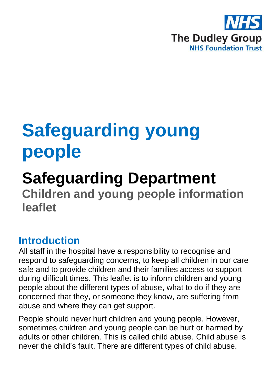

# **Safeguarding young people**

# **Safeguarding Department**

**Children and young people information leaflet**

# **Introduction**

All staff in the hospital have a responsibility to recognise and respond to safeguarding concerns, to keep all children in our care safe and to provide children and their families access to support during difficult times. This leaflet is to inform children and young people about the different types of abuse, what to do if they are concerned that they, or someone they know, are suffering from abuse and where they can get support.

People should never hurt children and young people. However, sometimes children and young people can be hurt or harmed by adults or other children. This is called child abuse. Child abuse is never the child's fault. There are different types of child abuse.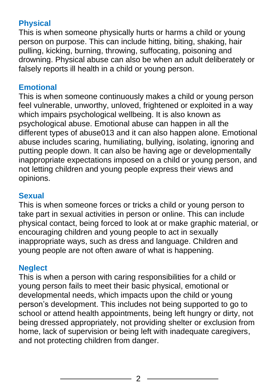# **Physical**

This is when someone physically hurts or harms a child or young person on purpose. This can include hitting, biting, shaking, hair pulling, kicking, burning, throwing, suffocating, poisoning and drowning. Physical abuse can also be when an adult deliberately or falsely reports ill health in a child or young person.

#### **Emotional**

This is when someone continuously makes a child or young person feel vulnerable, unworthy, unloved, frightened or exploited in a way which impairs psychological wellbeing. It is also known as psychological abuse. Emotional abuse can happen in all the different types of abuse013 and it can also happen alone. Emotional abuse includes scaring, humiliating, bullying, isolating, ignoring and putting people down. It can also be having age or developmentally inappropriate expectations imposed on a child or young person, and not letting children and young people express their views and opinions.

#### **Sexual**

This is when someone forces or tricks a child or young person to take part in sexual activities in person or online. This can include physical contact, being forced to look at or make graphic material, or encouraging children and young people to act in sexually inappropriate ways, such as dress and language. Children and young people are not often aware of what is happening.

#### **Neglect**

This is when a person with caring responsibilities for a child or young person fails to meet their basic physical, emotional or developmental needs, which impacts upon the child or young person's development. This includes not being supported to go to school or attend health appointments, being left hungry or dirty, not being dressed appropriately, not providing shelter or exclusion from home, lack of supervision or being left with inadequate caregivers, and not protecting children from danger.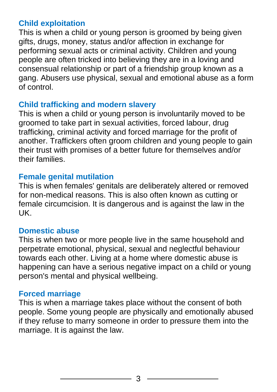#### **Child exploitation**

This is when a child or young person is groomed by being given gifts, drugs, money, status and/or affection in exchange for performing sexual acts or criminal activity. Children and young people are often tricked into believing they are in a loving and consensual relationship or part of a friendship group known as a gang. Abusers use physical, sexual and emotional abuse as a form of control.

#### **Child trafficking and modern slavery**

This is when a child or young person is involuntarily moved to be groomed to take part in sexual activities, forced labour, drug trafficking, criminal activity and forced marriage for the profit of another. Traffickers often groom children and young people to gain their trust with promises of a better future for themselves and/or their families.

#### **Female genital mutilation**

This is when females' genitals are deliberately altered or removed for non-medical reasons. This is also often known as cutting or female circumcision. It is dangerous and is against the law in the UK.

#### **Domestic abuse**

This is when two or more people live in the same household and perpetrate emotional, physical, sexual and neglectful behaviour towards each other. Living at a home where domestic abuse is happening can have a serious negative impact on a child or young person's mental and physical wellbeing.

#### **Forced marriage**

This is when a marriage takes place without the consent of both people. Some young people are physically and emotionally abused if they refuse to marry someone in order to pressure them into the marriage. It is against the law.

3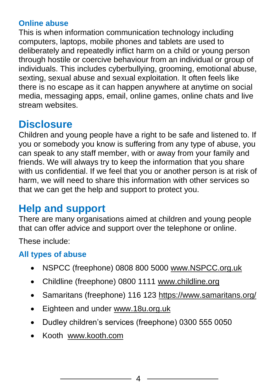#### **Online abuse**

This is when information communication technology including computers, laptops, mobile phones and tablets are used to deliberately and repeatedly inflict harm on a child or young person through hostile or coercive behaviour from an individual or group of individuals. This includes cyberbullying, grooming, emotional abuse, sexting, sexual abuse and sexual exploitation. It often feels like there is no escape as it can happen anywhere at anytime on social media, messaging apps, email, online games, online chats and live stream websites.

# **Disclosure**

Children and young people have a right to be safe and listened to. If you or somebody you know is suffering from any type of abuse, you can speak to any staff member, with or away from your family and friends. We will always try to keep the information that you share with us confidential. If we feel that you or another person is at risk of harm, we will need to share this information with other services so that we can get the help and support to protect you.

# **Help and support**

There are many organisations aimed at children and young people that can offer advice and support over the telephone or online.

These include:

## **All types of abuse**

- NSPCC (freephone) 0808 800 5000 [www.NSPCC.org.uk](http://www.nspcc.org.uk/)
- Childline (freephone) 0800 1111 [www.childline.org](http://www.childline.org/)
- Samaritans (freephone) 116 123<https://www.samaritans.org/>
- Eighteen and under [www.18u.org.uk](http://www.18u.org.uk/)
- Dudley children's services (freephone) 0300 555 0050
- Kooth [www.kooth.com](http://www.kooth.com/)

4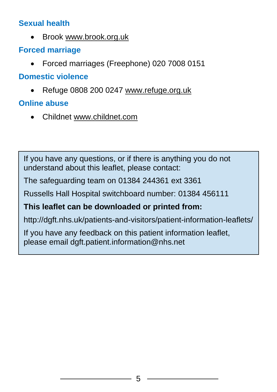#### **Sexual health**

• Brook [www.brook.org.uk](http://www.brook.org.uk/)

# **Forced marriage**

• Forced marriages (Freephone) 020 7008 0151

## **Domestic violence**

• Refuge 0808 200 0247 [www.refuge.org.uk](http://www.refuge.org.uk/)

# **Online abuse**

• Childnet [www.childnet.com](http://www.childnet.com/)

If you have any questions, or if there is anything you do not understand about this leaflet, please contact:

The safeguarding team on 01384 244361 ext 3361

Russells Hall Hospital switchboard number: 01384 456111

## **This leaflet can be downloaded or printed from:**

http://dgft.nhs.uk/patients-and-visitors/patient-information-leaflets/

If you have any feedback on this patient information leaflet, please email dgft.patient.information@nhs.net